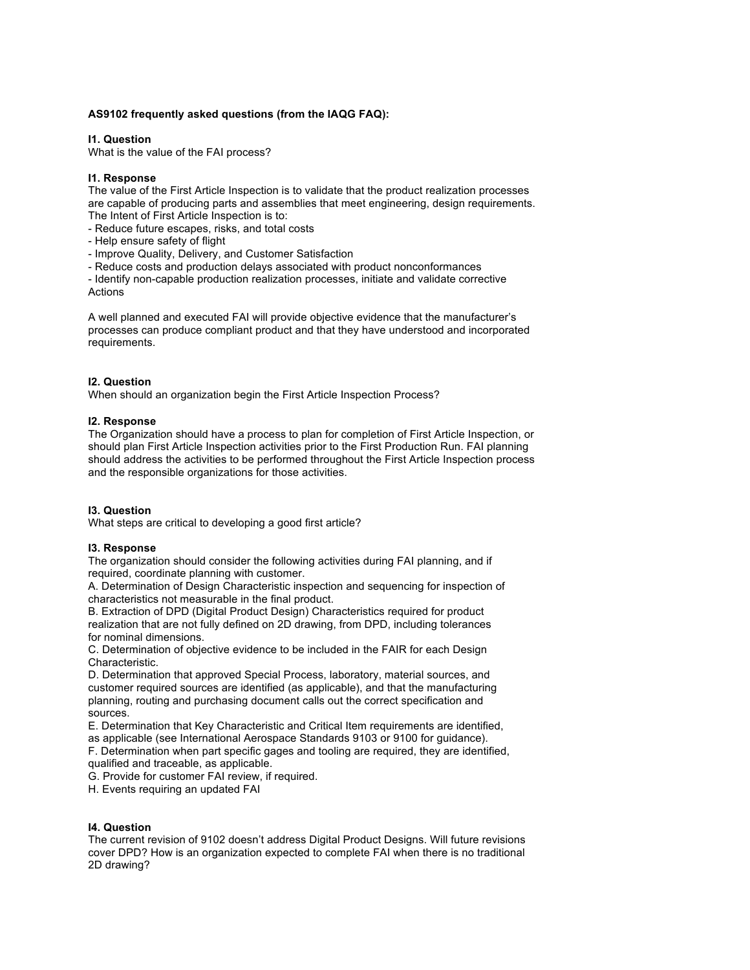# **AS9102 frequently asked questions (from the IAQG FAQ):**

### **I1. Question**

What is the value of the FAI process?

### **I1. Response**

The value of the First Article Inspection is to validate that the product realization processes are capable of producing parts and assemblies that meet engineering, design requirements. The Intent of First Article Inspection is to:

- Reduce future escapes, risks, and total costs

- Help ensure safety of flight

- Improve Quality, Delivery, and Customer Satisfaction

- Reduce costs and production delays associated with product nonconformances

- Identify non-capable production realization processes, initiate and validate corrective **Actions** 

A well planned and executed FAI will provide objective evidence that the manufacturer's processes can produce compliant product and that they have understood and incorporated requirements.

### **I2. Question**

When should an organization begin the First Article Inspection Process?

### **I2. Response**

The Organization should have a process to plan for completion of First Article Inspection, or should plan First Article Inspection activities prior to the First Production Run. FAI planning should address the activities to be performed throughout the First Article Inspection process and the responsible organizations for those activities.

#### **I3. Question**

What steps are critical to developing a good first article?

# **I3. Response**

The organization should consider the following activities during FAI planning, and if required, coordinate planning with customer.

A. Determination of Design Characteristic inspection and sequencing for inspection of characteristics not measurable in the final product.

B. Extraction of DPD (Digital Product Design) Characteristics required for product realization that are not fully defined on 2D drawing, from DPD, including tolerances for nominal dimensions.

C. Determination of objective evidence to be included in the FAIR for each Design Characteristic.

D. Determination that approved Special Process, laboratory, material sources, and customer required sources are identified (as applicable), and that the manufacturing planning, routing and purchasing document calls out the correct specification and sources.

E. Determination that Key Characteristic and Critical Item requirements are identified, as applicable (see International Aerospace Standards 9103 or 9100 for guidance).

F. Determination when part specific gages and tooling are required, they are identified, qualified and traceable, as applicable.

G. Provide for customer FAI review, if required.

H. Events requiring an updated FAI

# **I4. Question**

The current revision of 9102 doesn't address Digital Product Designs. Will future revisions cover DPD? How is an organization expected to complete FAI when there is no traditional 2D drawing?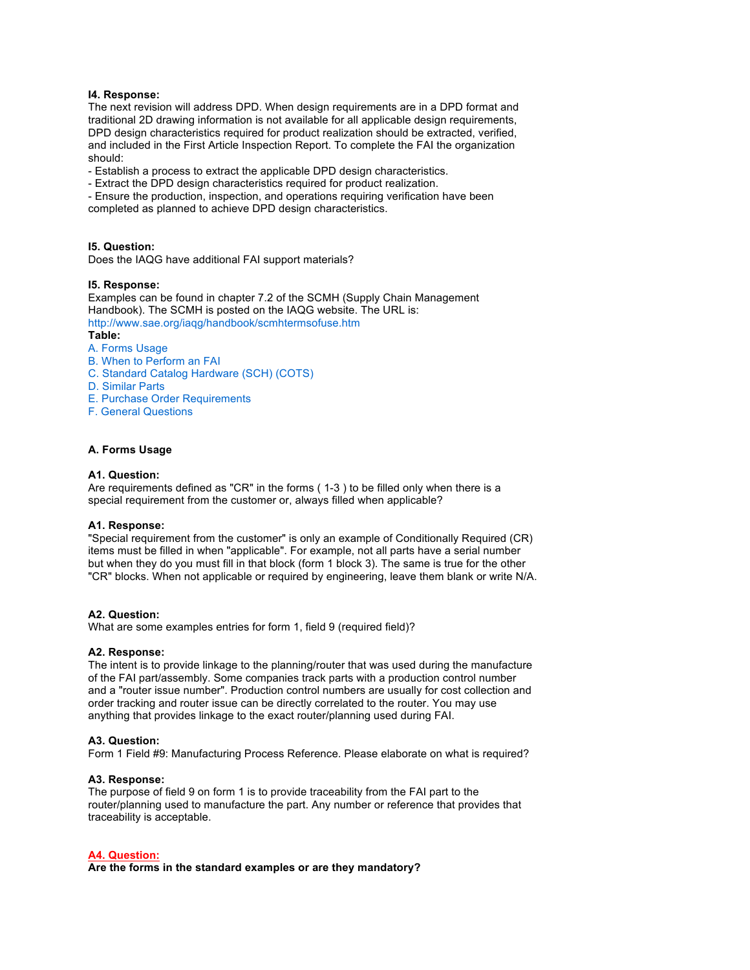### **I4. Response:**

The next revision will address DPD. When design requirements are in a DPD format and traditional 2D drawing information is not available for all applicable design requirements, DPD design characteristics required for product realization should be extracted, verified, and included in the First Article Inspection Report. To complete the FAI the organization should:

- Establish a process to extract the applicable DPD design characteristics.

- Extract the DPD design characteristics required for product realization.

- Ensure the production, inspection, and operations requiring verification have been completed as planned to achieve DPD design characteristics.

### **I5. Question:**

Does the IAQG have additional FAI support materials?

#### **I5. Response:**

Examples can be found in chapter 7.2 of the SCMH (Supply Chain Management Handbook). The SCMH is posted on the IAQG website. The URL is: http://www.sae.org/iaqg/handbook/scmhtermsofuse.htm **Table:**

### A. Forms Usage

- B. When to Perform an FAI
- C. Standard Catalog Hardware (SCH) (COTS)
- D. Similar Parts
- E. Purchase Order Requirements
- F. General Questions

### **A. Forms Usage**

### **A1. Question:**

Are requirements defined as "CR" in the forms ( 1-3 ) to be filled only when there is a special requirement from the customer or, always filled when applicable?

### **A1. Response:**

"Special requirement from the customer" is only an example of Conditionally Required (CR) items must be filled in when "applicable". For example, not all parts have a serial number but when they do you must fill in that block (form 1 block 3). The same is true for the other "CR" blocks. When not applicable or required by engineering, leave them blank or write N/A.

#### **A2. Question:**

What are some examples entries for form 1, field 9 (required field)?

### **A2. Response:**

The intent is to provide linkage to the planning/router that was used during the manufacture of the FAI part/assembly. Some companies track parts with a production control number and a "router issue number". Production control numbers are usually for cost collection and order tracking and router issue can be directly correlated to the router. You may use anything that provides linkage to the exact router/planning used during FAI.

### **A3. Question:**

Form 1 Field #9: Manufacturing Process Reference. Please elaborate on what is required?

#### **A3. Response:**

The purpose of field 9 on form 1 is to provide traceability from the FAI part to the router/planning used to manufacture the part. Any number or reference that provides that traceability is acceptable.

# **A4. Question:**

**Are the forms in the standard examples or are they mandatory?**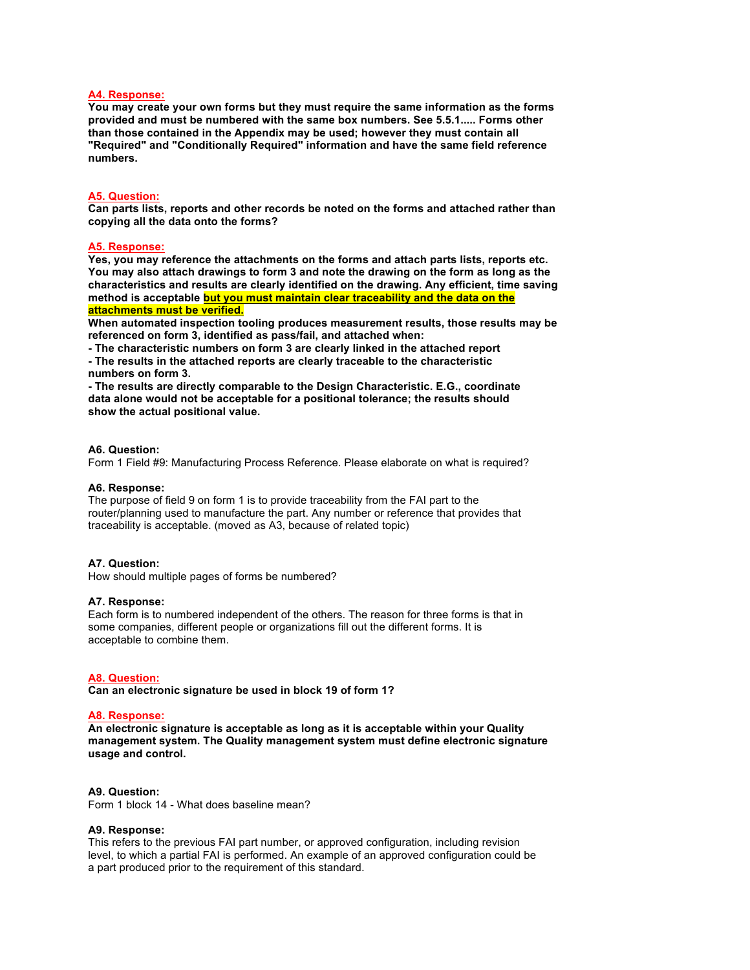### **A4. Response:**

**You may create your own forms but they must require the same information as the forms provided and must be numbered with the same box numbers. See 5.5.1..... Forms other than those contained in the Appendix may be used; however they must contain all "Required" and "Conditionally Required" information and have the same field reference numbers.**

#### **A5. Question:**

**Can parts lists, reports and other records be noted on the forms and attached rather than copying all the data onto the forms?**

#### **A5. Response:**

**Yes, you may reference the attachments on the forms and attach parts lists, reports etc. You may also attach drawings to form 3 and note the drawing on the form as long as the characteristics and results are clearly identified on the drawing. Any efficient, time saving method is acceptable but you must maintain clear traceability and the data on the attachments must be verified.**

**When automated inspection tooling produces measurement results, those results may be referenced on form 3, identified as pass/fail, and attached when:**

**- The characteristic numbers on form 3 are clearly linked in the attached report**

**- The results in the attached reports are clearly traceable to the characteristic numbers on form 3.**

**- The results are directly comparable to the Design Characteristic. E.G., coordinate data alone would not be acceptable for a positional tolerance; the results should show the actual positional value.**

#### **A6. Question:**

Form 1 Field #9: Manufacturing Process Reference. Please elaborate on what is required?

#### **A6. Response:**

The purpose of field 9 on form 1 is to provide traceability from the FAI part to the router/planning used to manufacture the part. Any number or reference that provides that traceability is acceptable. (moved as A3, because of related topic)

#### **A7. Question:**

How should multiple pages of forms be numbered?

#### **A7. Response:**

Each form is to numbered independent of the others. The reason for three forms is that in some companies, different people or organizations fill out the different forms. It is acceptable to combine them.

#### **A8. Question:**

**Can an electronic signature be used in block 19 of form 1?**

#### **A8. Response:**

**An electronic signature is acceptable as long as it is acceptable within your Quality management system. The Quality management system must define electronic signature usage and control.**

#### **A9. Question:**

Form 1 block 14 - What does baseline mean?

#### **A9. Response:**

This refers to the previous FAI part number, or approved configuration, including revision level, to which a partial FAI is performed. An example of an approved configuration could be a part produced prior to the requirement of this standard.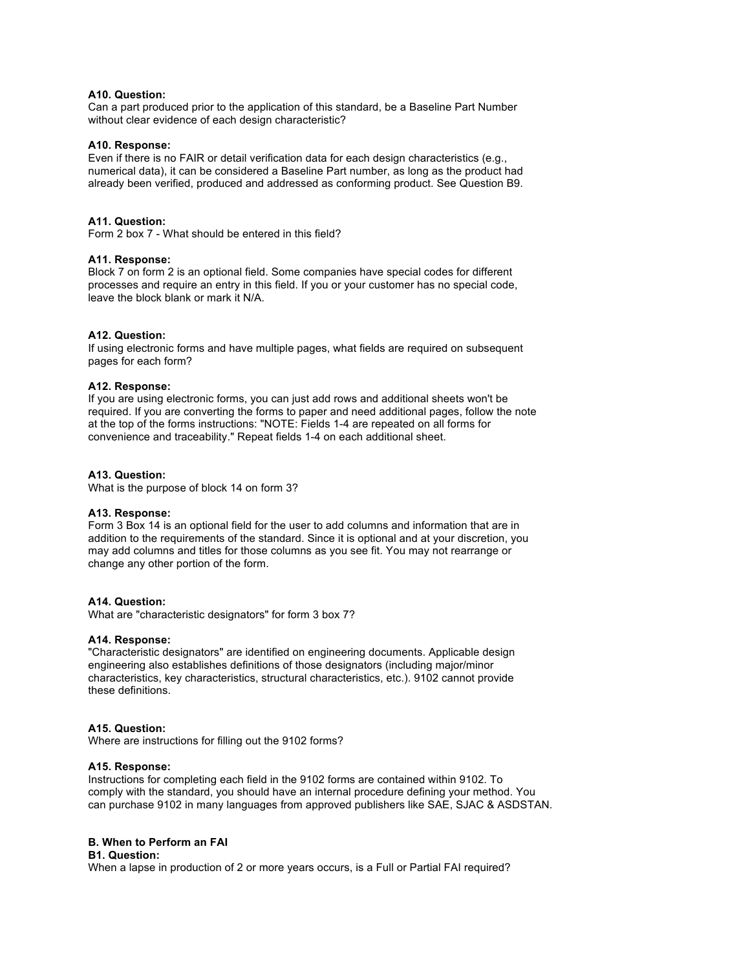# **A10. Question:**

Can a part produced prior to the application of this standard, be a Baseline Part Number without clear evidence of each design characteristic?

### **A10. Response:**

Even if there is no FAIR or detail verification data for each design characteristics (e.g., numerical data), it can be considered a Baseline Part number, as long as the product had already been verified, produced and addressed as conforming product. See Question B9.

### **A11. Question:**

Form 2 box 7 - What should be entered in this field?

### **A11. Response:**

Block 7 on form 2 is an optional field. Some companies have special codes for different processes and require an entry in this field. If you or your customer has no special code, leave the block blank or mark it N/A.

### **A12. Question:**

If using electronic forms and have multiple pages, what fields are required on subsequent pages for each form?

### **A12. Response:**

If you are using electronic forms, you can just add rows and additional sheets won't be required. If you are converting the forms to paper and need additional pages, follow the note at the top of the forms instructions: "NOTE: Fields 1-4 are repeated on all forms for convenience and traceability." Repeat fields 1-4 on each additional sheet.

### **A13. Question:**

What is the purpose of block 14 on form 3?

### **A13. Response:**

Form 3 Box 14 is an optional field for the user to add columns and information that are in addition to the requirements of the standard. Since it is optional and at your discretion, you may add columns and titles for those columns as you see fit. You may not rearrange or change any other portion of the form.

### **A14. Question:**

What are "characteristic designators" for form 3 box 7?

#### **A14. Response:**

"Characteristic designators" are identified on engineering documents. Applicable design engineering also establishes definitions of those designators (including major/minor characteristics, key characteristics, structural characteristics, etc.). 9102 cannot provide these definitions.

#### **A15. Question:**

Where are instructions for filling out the 9102 forms?

# **A15. Response:**

Instructions for completing each field in the 9102 forms are contained within 9102. To comply with the standard, you should have an internal procedure defining your method. You can purchase 9102 in many languages from approved publishers like SAE, SJAC & ASDSTAN.

# **B. When to Perform an FAI**

# **B1. Question:**

When a lapse in production of 2 or more years occurs, is a Full or Partial FAI required?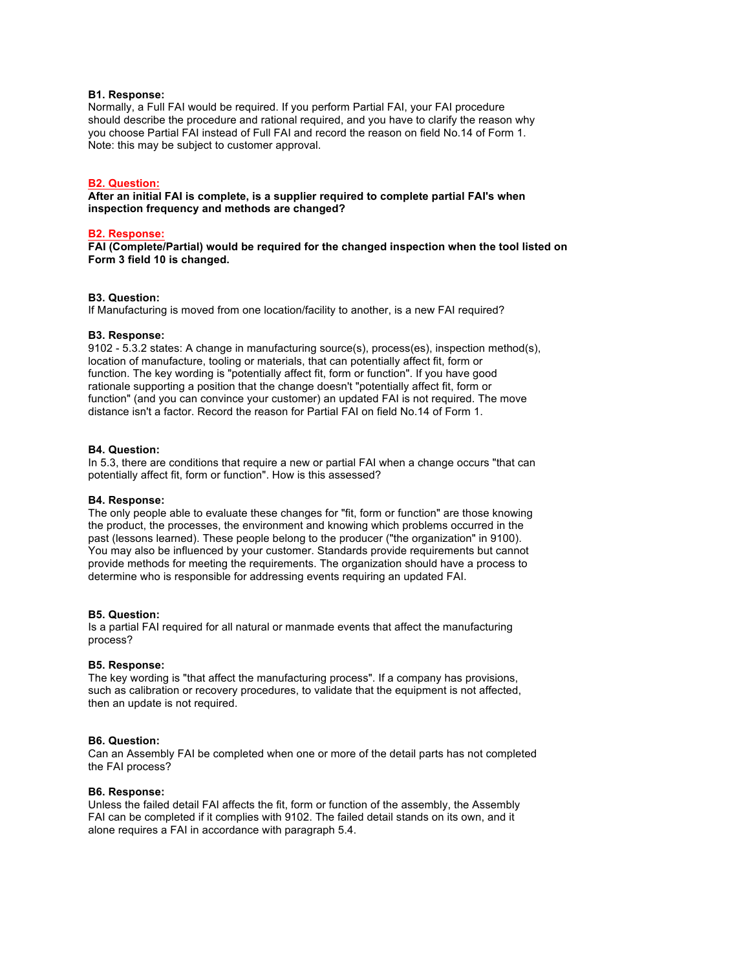### **B1. Response:**

Normally, a Full FAI would be required. If you perform Partial FAI, your FAI procedure should describe the procedure and rational required, and you have to clarify the reason why you choose Partial FAI instead of Full FAI and record the reason on field No.14 of Form 1. Note: this may be subject to customer approval.

### **B2. Question:**

**After an initial FAI is complete, is a supplier required to complete partial FAI's when inspection frequency and methods are changed?**

#### **B2. Response:**

**FAI (Complete/Partial) would be required for the changed inspection when the tool listed on Form 3 field 10 is changed.**

### **B3. Question:**

If Manufacturing is moved from one location/facility to another, is a new FAI required?

### **B3. Response:**

9102 - 5.3.2 states: A change in manufacturing source(s), process(es), inspection method(s), location of manufacture, tooling or materials, that can potentially affect fit, form or function. The key wording is "potentially affect fit, form or function". If you have good rationale supporting a position that the change doesn't "potentially affect fit, form or function" (and you can convince your customer) an updated FAI is not required. The move distance isn't a factor. Record the reason for Partial FAI on field No.14 of Form 1.

#### **B4. Question:**

In 5.3, there are conditions that require a new or partial FAI when a change occurs "that can potentially affect fit, form or function". How is this assessed?

#### **B4. Response:**

The only people able to evaluate these changes for "fit, form or function" are those knowing the product, the processes, the environment and knowing which problems occurred in the past (lessons learned). These people belong to the producer ("the organization" in 9100). You may also be influenced by your customer. Standards provide requirements but cannot provide methods for meeting the requirements. The organization should have a process to determine who is responsible for addressing events requiring an updated FAI.

#### **B5. Question:**

Is a partial FAI required for all natural or manmade events that affect the manufacturing process?

### **B5. Response:**

The key wording is "that affect the manufacturing process". If a company has provisions, such as calibration or recovery procedures, to validate that the equipment is not affected, then an update is not required.

# **B6. Question:**

Can an Assembly FAI be completed when one or more of the detail parts has not completed the FAI process?

#### **B6. Response:**

Unless the failed detail FAI affects the fit, form or function of the assembly, the Assembly FAI can be completed if it complies with 9102. The failed detail stands on its own, and it alone requires a FAI in accordance with paragraph 5.4.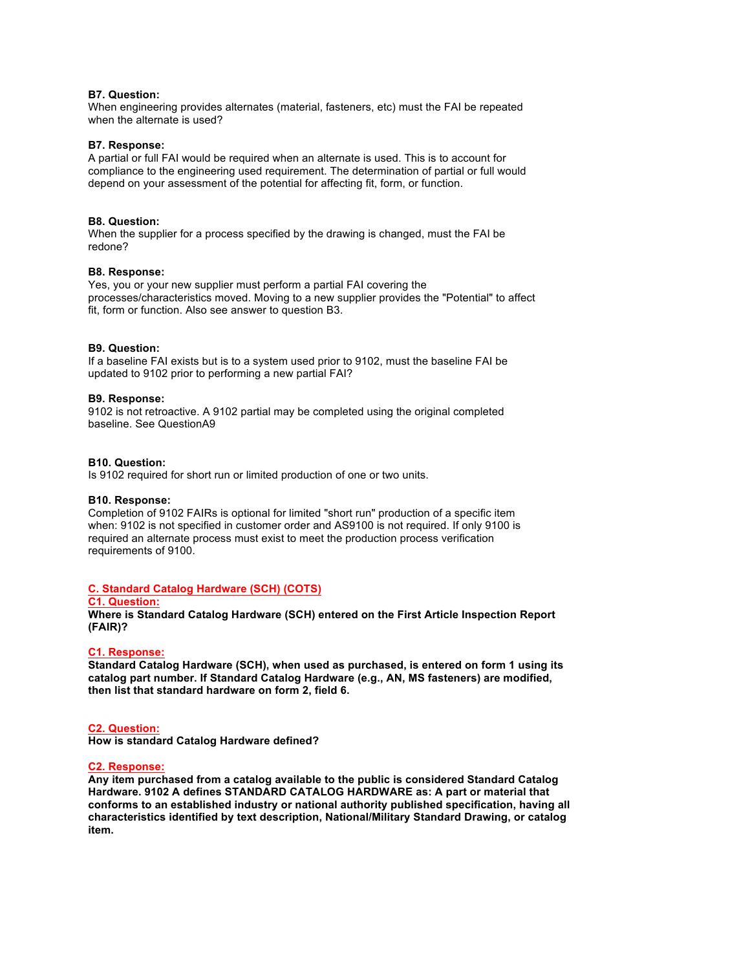### **B7. Question:**

When engineering provides alternates (material, fasteners, etc) must the FAI be repeated when the alternate is used?

### **B7. Response:**

A partial or full FAI would be required when an alternate is used. This is to account for compliance to the engineering used requirement. The determination of partial or full would depend on your assessment of the potential for affecting fit, form, or function.

### **B8. Question:**

When the supplier for a process specified by the drawing is changed, must the FAI be redone?

### **B8. Response:**

Yes, you or your new supplier must perform a partial FAI covering the processes/characteristics moved. Moving to a new supplier provides the "Potential" to affect fit, form or function. Also see answer to question B3.

### **B9. Question:**

If a baseline FAI exists but is to a system used prior to 9102, must the baseline FAI be updated to 9102 prior to performing a new partial FAI?

#### **B9. Response:**

9102 is not retroactive. A 9102 partial may be completed using the original completed baseline. See QuestionA9

### **B10. Question:**

Is 9102 required for short run or limited production of one or two units.

#### **B10. Response:**

Completion of 9102 FAIRs is optional for limited "short run" production of a specific item when: 9102 is not specified in customer order and AS9100 is not required. If only 9100 is required an alternate process must exist to meet the production process verification requirements of 9100.

# **C. Standard Catalog Hardware (SCH) (COTS)**

### **C1. Question:**

**Where is Standard Catalog Hardware (SCH) entered on the First Article Inspection Report (FAIR)?**

### **C1. Response:**

**Standard Catalog Hardware (SCH), when used as purchased, is entered on form 1 using its catalog part number. If Standard Catalog Hardware (e.g., AN, MS fasteners) are modified, then list that standard hardware on form 2, field 6.**

# **C2. Question:**

**How is standard Catalog Hardware defined?**

#### **C2. Response:**

**Any item purchased from a catalog available to the public is considered Standard Catalog Hardware. 9102 A defines STANDARD CATALOG HARDWARE as: A part or material that conforms to an established industry or national authority published specification, having all characteristics identified by text description, National/Military Standard Drawing, or catalog item.**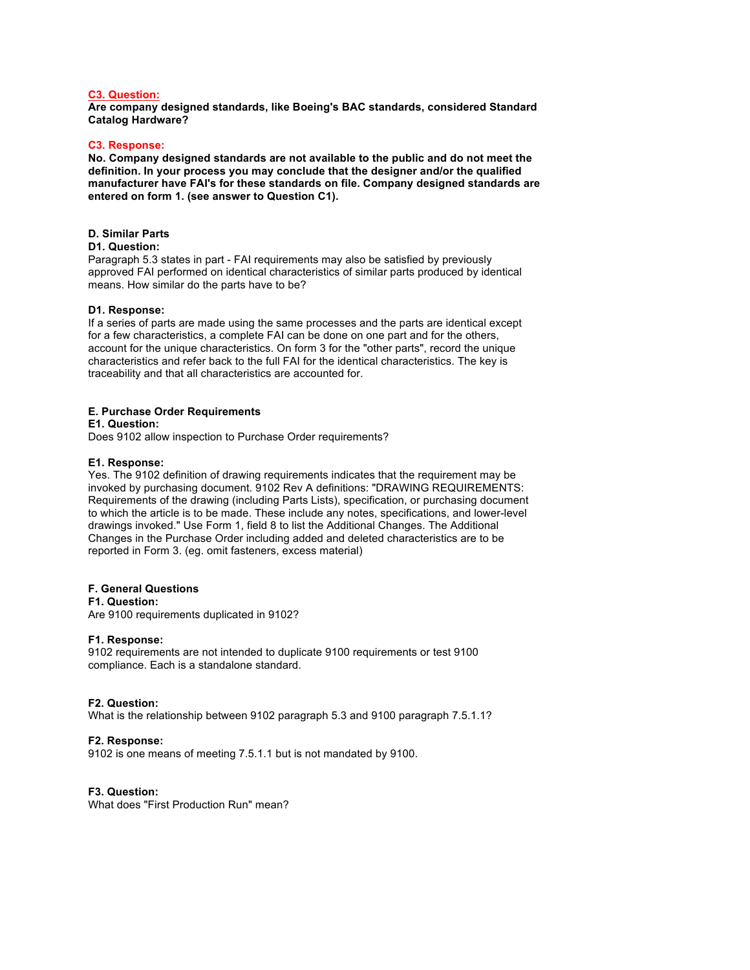### **C3. Question:**

**Are company designed standards, like Boeing's BAC standards, considered Standard Catalog Hardware?**

### **C3. Response:**

**No. Company designed standards are not available to the public and do not meet the definition. In your process you may conclude that the designer and/or the qualified manufacturer have FAI's for these standards on file. Company designed standards are entered on form 1. (see answer to Question C1).**

### **D. Similar Parts**

#### **D1. Question:**

Paragraph 5.3 states in part - FAI requirements may also be satisfied by previously approved FAI performed on identical characteristics of similar parts produced by identical means. How similar do the parts have to be?

### **D1. Response:**

If a series of parts are made using the same processes and the parts are identical except for a few characteristics, a complete FAI can be done on one part and for the others, account for the unique characteristics. On form 3 for the "other parts", record the unique characteristics and refer back to the full FAI for the identical characteristics. The key is traceability and that all characteristics are accounted for.

# **E. Purchase Order Requirements**

**E1. Question:** Does 9102 allow inspection to Purchase Order requirements?

# **E1. Response:**

Yes. The 9102 definition of drawing requirements indicates that the requirement may be invoked by purchasing document. 9102 Rev A definitions: "DRAWING REQUIREMENTS: Requirements of the drawing (including Parts Lists), specification, or purchasing document to which the article is to be made. These include any notes, specifications, and lower-level drawings invoked." Use Form 1, field 8 to list the Additional Changes. The Additional Changes in the Purchase Order including added and deleted characteristics are to be reported in Form 3. (eg. omit fasteners, excess material)

# **F. General Questions**

**F1. Question:**

Are 9100 requirements duplicated in 9102?

# **F1. Response:**

9102 requirements are not intended to duplicate 9100 requirements or test 9100 compliance. Each is a standalone standard.

# **F2. Question:**

What is the relationship between 9102 paragraph 5.3 and 9100 paragraph 7.5.1.1?

# **F2. Response:**

9102 is one means of meeting 7.5.1.1 but is not mandated by 9100.

# **F3. Question:**

What does "First Production Run" mean?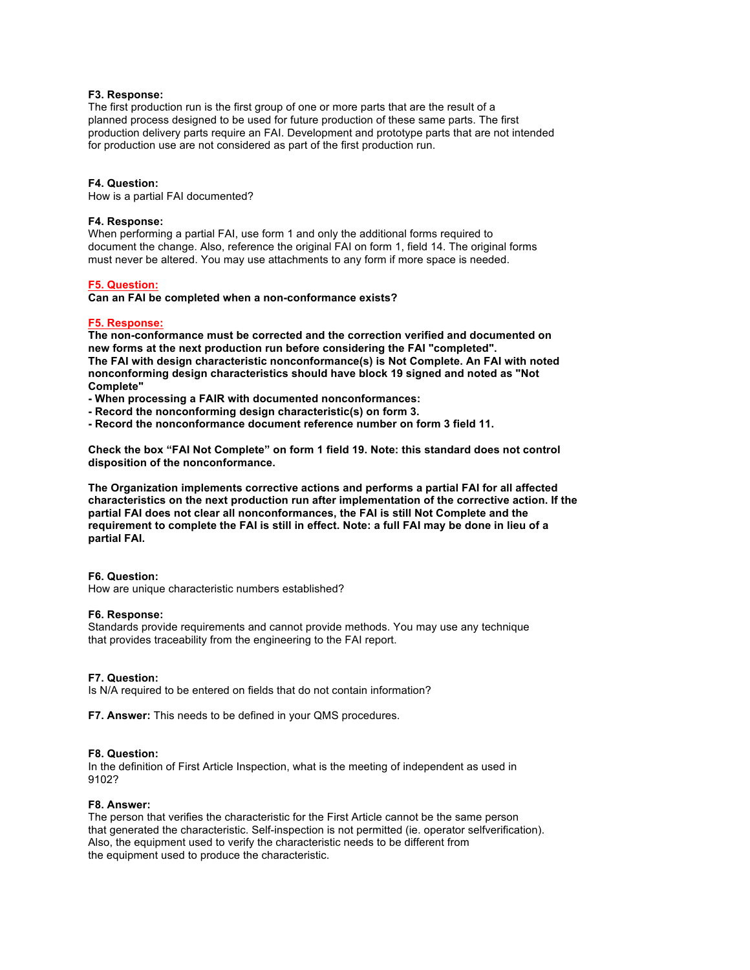### **F3. Response:**

The first production run is the first group of one or more parts that are the result of a planned process designed to be used for future production of these same parts. The first production delivery parts require an FAI. Development and prototype parts that are not intended for production use are not considered as part of the first production run.

#### **F4. Question:**

How is a partial FAI documented?

### **F4. Response:**

When performing a partial FAI, use form 1 and only the additional forms required to document the change. Also, reference the original FAI on form 1, field 14. The original forms must never be altered. You may use attachments to any form if more space is needed.

#### **F5. Question:**

**Can an FAI be completed when a non-conformance exists?**

### **F5. Response:**

**The non-conformance must be corrected and the correction verified and documented on new forms at the next production run before considering the FAI "completed". The FAI with design characteristic nonconformance(s) is Not Complete. An FAI with noted nonconforming design characteristics should have block 19 signed and noted as "Not Complete"**

- **- When processing a FAIR with documented nonconformances:**
- **- Record the nonconforming design characteristic(s) on form 3.**
- **- Record the nonconformance document reference number on form 3 field 11.**

**Check the box "FAI Not Complete" on form 1 field 19. Note: this standard does not control disposition of the nonconformance.**

**The Organization implements corrective actions and performs a partial FAI for all affected characteristics on the next production run after implementation of the corrective action. If the partial FAI does not clear all nonconformances, the FAI is still Not Complete and the requirement to complete the FAI is still in effect. Note: a full FAI may be done in lieu of a partial FAI.**

#### **F6. Question:**

How are unique characteristic numbers established?

#### **F6. Response:**

Standards provide requirements and cannot provide methods. You may use any technique that provides traceability from the engineering to the FAI report.

### **F7. Question:**

Is N/A required to be entered on fields that do not contain information?

**F7. Answer:** This needs to be defined in your QMS procedures.

#### **F8. Question:**

In the definition of First Article Inspection, what is the meeting of independent as used in 9102?

#### **F8. Answer:**

The person that verifies the characteristic for the First Article cannot be the same person that generated the characteristic. Self-inspection is not permitted (ie. operator selfverification). Also, the equipment used to verify the characteristic needs to be different from the equipment used to produce the characteristic.